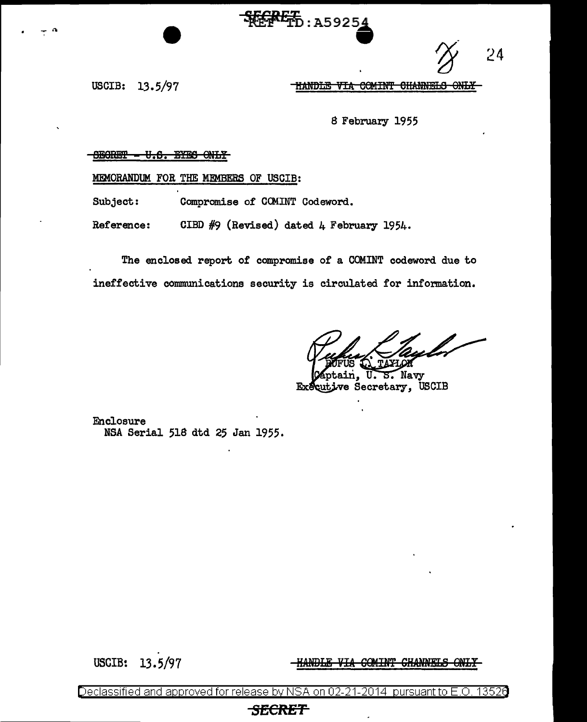24

USCIB: 13.5/97

HANDLE VIA COMINT CHANNELS ONLY-

8 February 1955

## $-BEORET - U.S.$  EYES ONLY

MEMORANDUM FOR THE MEMBERS OF USCIB:

Subject: Compromise of CCMINT Codeword.

Reference: CIBD #9 (Revised) dated 4 February 1954.

The enclosed. report of compromise of a COMINT codeword due to ineffective communications security is circulated for information.

**HEPPEL**: A59254

5. Navy ve Secretary, USCIB Ex

Enclosure NSA Serial 518 dtd 25 Jan 1955.

USGIB: 13. 5/97

**HANDLE VIA COMINT CHANNELS ONLY** 

Declassified and approved for release by NSA on 02-21-2014  $\,$  pursuant to E.O. 1352 $6$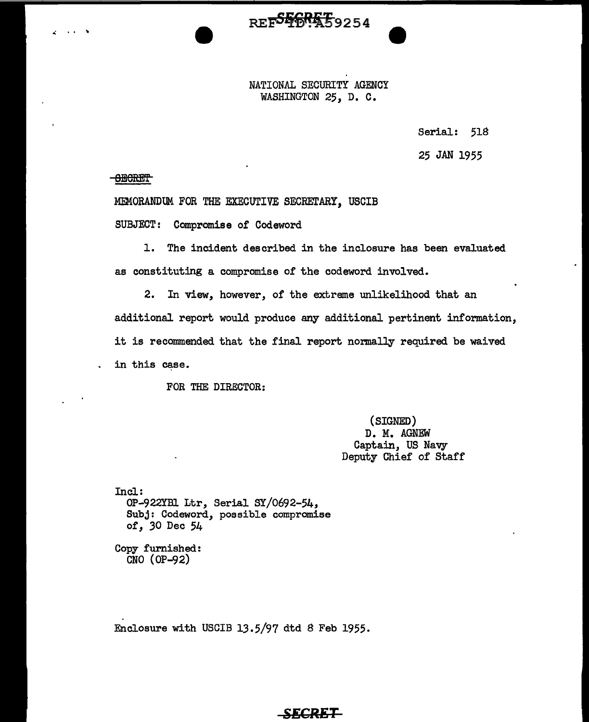NATIONAL SECURITY AGENCY WASHINGTON 25, D. C.

REF<sup>55</sup>6R559254

Serial: 518

25 JAN 1955

**- <del>OECRET</del>** 

 $\ddot{\phantom{2}}$ 

MEMORANDUM FOR THE EXECUTIVE SECRETARY, USCIB

SUBJECT: Compromise of Codeword

1. The incident described in the inclosure has been evaluated as constituting a compromise of the codeword involved.

2. In view, however, of the extreme unlikelihood that an additional report would produce any additional pertinent information, it is recommended that the final report normally required be waived in this case.

FOR THE DIRECTOR:

(SIGNED) D. M. AGNEW Captain, US Navy Deputy Chief of Staff

Incl: OP-922YB1 Ltr, Serial SY/0692-54, Subj: Codeword, possible compromise of, *30* Dec 54

Copy furnished: CNO (OP-92)

Enclosure with USCIB 13.5/97 dtd S Feb 1955.

## **SECRET**